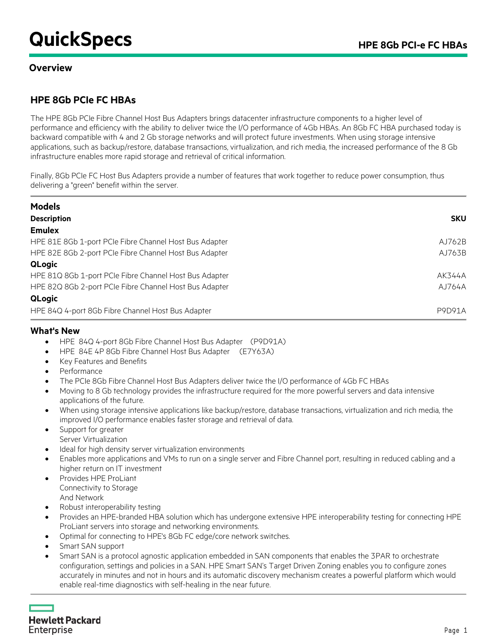# **QuickSpecs** HPE 8Gb PCI-e FC HBAs

#### **Overview**

## **HPE 8Gb PCIe FC HBAs**

The HPE 8Gb PCIe Fibre Channel Host Bus Adapters brings datacenter infrastructure components to a higher level of performance and efficiency with the ability to deliver twice the I/O performance of 4Gb HBAs. An 8Gb FC HBA purchased today is backward compatible with 4 and 2 Gb storage networks and will protect future investments. When using storage intensive applications, such as backup/restore, database transactions, virtualization, and rich media, the increased performance of the 8 Gb infrastructure enables more rapid storage and retrieval of critical information.

Finally, 8Gb PCIe FC Host Bus Adapters provide a number of features that work together to reduce power consumption, thus delivering a "green" benefit within the server.

| <b>Models</b>                                          |               |  |
|--------------------------------------------------------|---------------|--|
| <b>Description</b>                                     | <b>SKU</b>    |  |
| <b>Emulex</b>                                          |               |  |
| HPE 81E 8Gb 1-port PCIe Fibre Channel Host Bus Adapter | AJ762B        |  |
| HPE 82E 8Gb 2-port PCIe Fibre Channel Host Bus Adapter | AJ763B        |  |
| <b>QLogic</b>                                          |               |  |
| HPE 81Q 8Gb 1-port PCIe Fibre Channel Host Bus Adapter | AK344A        |  |
| HPE 82Q 8Gb 2-port PCIe Fibre Channel Host Bus Adapter | AJ764A        |  |
| QLogic                                                 |               |  |
| HPE 84Q 4-port 8Gb Fibre Channel Host Bus Adapter      | <b>P9D91A</b> |  |

#### **What's New**

- HPE 84Q 4-port 8Gb Fibre Channel Host Bus Adapter (P9D91A)
- HPE 84E 4P 8Gb Fibre Channel Host Bus Adapter (E7Y63A)
- Key Features and Benefits
- Performance
- The PCIe 8Gb Fibre Channel Host Bus Adapters deliver twice the I/O performance of 4Gb FC HBAs
- Moving to 8 Gb technology provides the infrastructure required for the more powerful servers and data intensive applications of the future.
- When using storage intensive applications like backup/restore, database transactions, virtualization and rich media, the improved I/O performance enables faster storage and retrieval of data.
- Support for greater Server Virtualization
- Ideal for high density server virtualization environments
- Enables more applications and VMs to run on a single server and Fibre Channel port, resulting in reduced cabling and a higher return on IT investment
- Provides HPE ProLiant Connectivity to Storage And Network
- Robust interoperability testing
- Provides an HPE-branded HBA solution which has undergone extensive HPE interoperability testing for connecting HPE ProLiant servers into storage and networking environments.
- Optimal for connecting to HPE's 8Gb FC edge/core network switches.
- Smart SAN support
- Smart SAN is a protocol agnostic application embedded in SAN components that enables the 3PAR to orchestrate configuration, settings and policies in a SAN. HPE Smart SAN's Target Driven Zoning enables you to configure zones accurately in minutes and not in hours and its automatic discovery mechanism creates a powerful platform which would enable real-time diagnostics with self-healing in the near future.

**Hewlett Packard** Enterprise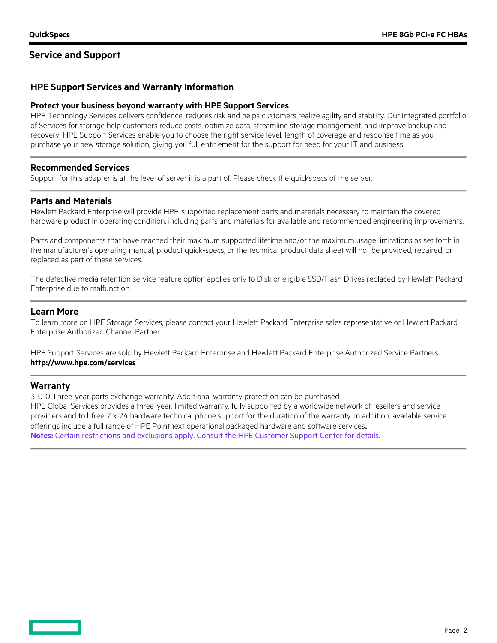### **Service and Support**

#### **HPE Support Services and Warranty Information**

#### **Protect your business beyond warranty with HPE Support Services**

HPE Technology Services delivers confidence, reduces risk and helps customers realize agility and stability. Our integrated portfolio of Services for storage help customers reduce costs, optimize data, streamline storage management, and improve backup and recovery. HPE Support Services enable you to choose the right service level, length of coverage and response time as you purchase your new storage solution, giving you full entitlement for the support for need for your IT and business.

#### **Recommended Services**

Support for this adapter is at the level of server it is a part of. Please check the quickspecs of the server.

#### **Parts and Materials**

Hewlett Packard Enterprise will provide HPE-supported replacement parts and materials necessary to maintain the covered hardware product in operating condition, including parts and materials for available and recommended engineering improvements.

Parts and components that have reached their maximum supported lifetime and/or the maximum usage limitations as set forth in the manufacturer's operating manual, product quick-specs, or the technical product data sheet will not be provided, repaired, or replaced as part of these services.

The defective media retention service feature option applies only to Disk or eligible SSD/Flash Drives replaced by Hewlett Packard Enterprise due to malfunction.

#### **Learn More**

To learn more on HPE Storage Services, please contact your Hewlett Packard Enterprise sales representative or Hewlett Packard Enterprise Authorized Channel Partner

HPE Support Services are sold by Hewlett Packard Enterprise and Hewlett Packard Enterprise Authorized Service Partners. **<http://www.hpe.com/services>**

#### **Warranty**

3-0-0 Three-year parts exchange warranty. Additional warranty protection can be purchased. HPE Global Services provides a three-year, limited warranty, fully supported by a worldwide network of resellers and service providers and toll-free 7 x 24 hardware technical phone support for the duration of the warranty. In addition, available service offerings include a full range of HPE Pointnext operational packaged hardware and software services. **Notes:** Certain restrictions and exclusions apply. Consult the HPE Customer Support Center for details.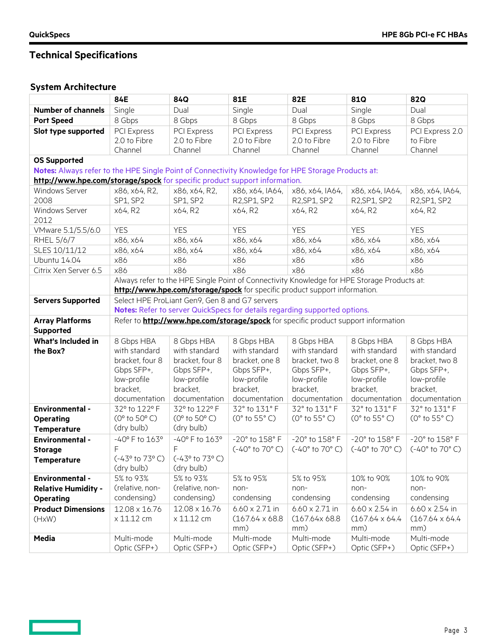$\overline{\phantom{0}}$ 

# **Technical Specifications**

## **System Architecture**

|                                                                                                    | 84E                                                                                         | 84Q                                               | 81E                                 | 82E                                   | 81Q                                                                                | <b>82Q</b>             |
|----------------------------------------------------------------------------------------------------|---------------------------------------------------------------------------------------------|---------------------------------------------------|-------------------------------------|---------------------------------------|------------------------------------------------------------------------------------|------------------------|
| <b>Number of channels</b>                                                                          | Single                                                                                      | Dual                                              | Single                              | Dual                                  | Single                                                                             | Dual                   |
| <b>Port Speed</b>                                                                                  | 8 Gbps                                                                                      | 8 Gbps                                            | 8 Gbps                              | 8 Gbps                                | 8 Gbps                                                                             | 8 Gbps                 |
| Slot type supported                                                                                | PCI Express                                                                                 | <b>PCI Express</b>                                | PCI Express                         | PCI Express                           | PCI Express                                                                        | PCI Express 2.0        |
|                                                                                                    | 2.0 to Fibre                                                                                | 2.0 to Fibre                                      | 2.0 to Fibre                        | 2.0 to Fibre                          | 2.0 to Fibre                                                                       | to Fibre               |
|                                                                                                    | Channel                                                                                     | Channel                                           | Channel                             | Channel                               | Channel                                                                            | Channel                |
| <b>OS Supported</b>                                                                                |                                                                                             |                                                   |                                     |                                       |                                                                                    |                        |
| Notes: Always refer to the HPE Single Point of Connectivity Knowledge for HPE Storage Products at: |                                                                                             |                                                   |                                     |                                       |                                                                                    |                        |
| http://www.hpe.com/storage/spock for specific product support information.                         |                                                                                             |                                                   |                                     |                                       |                                                                                    |                        |
| Windows Server                                                                                     | x86, x64, R2,                                                                               | x86, x64, R2,                                     | x86, x64, IA64,                     | x86, x64, IA64,                       | x86, x64, IA64,                                                                    | x86, x64, IA64,        |
| 2008                                                                                               | SP1, SP2                                                                                    | SP1, SP2                                          | R2, SP1, SP2                        | R2, SP1, SP2                          | R2, SP1, SP2                                                                       | R2, SP1, SP2           |
| Windows Server                                                                                     | x64, R2                                                                                     | x64, R2                                           | x64, R2                             | x64, R2                               | x64, R2                                                                            | x64, R2                |
| 2012                                                                                               |                                                                                             |                                                   |                                     |                                       |                                                                                    |                        |
| VMware 5.1/5.5/6.0                                                                                 | <b>YES</b>                                                                                  | <b>YES</b>                                        | <b>YES</b>                          | <b>YES</b>                            | <b>YES</b>                                                                         | <b>YES</b>             |
| RHEL 5/6/7                                                                                         | x86, x64                                                                                    | x86, x64                                          | x86, x64                            | x86, x64                              | x86, x64                                                                           | x86, x64               |
| SLES 10/11/12                                                                                      | x86, x64                                                                                    | x86, x64                                          | x86, x64                            | x86, x64                              | x86, x64                                                                           | x86, x64               |
| Ubuntu 14.04                                                                                       | x86                                                                                         | x86                                               | x86                                 | x86                                   | x86                                                                                | x86                    |
| Citrix Xen Server 6.5                                                                              | x86                                                                                         | x86                                               | x86                                 | x86                                   | x86                                                                                | x86                    |
|                                                                                                    | Always refer to the HPE Single Point of Connectivity Knowledge for HPE Storage Products at: |                                                   |                                     |                                       |                                                                                    |                        |
|                                                                                                    | http://www.hpe.com/storage/spock for specific product support information.                  |                                                   |                                     |                                       |                                                                                    |                        |
| <b>Servers Supported</b>                                                                           | Select HPE ProLiant Gen9, Gen 8 and G7 servers                                              |                                                   |                                     |                                       |                                                                                    |                        |
|                                                                                                    | Notes: Refer to server QuickSpecs for details regarding supported options.                  |                                                   |                                     |                                       |                                                                                    |                        |
| <b>Array Platforms</b>                                                                             |                                                                                             |                                                   |                                     |                                       | Refer to http://www.hpe.com/storage/spock for specific product support information |                        |
| Supported                                                                                          |                                                                                             |                                                   |                                     |                                       |                                                                                    |                        |
| <b>What's Included in</b>                                                                          | 8 Gbps HBA                                                                                  | 8 Gbps HBA                                        | 8 Gbps HBA                          | 8 Gbps HBA                            | 8 Gbps HBA                                                                         | 8 Gbps HBA             |
| the Box?                                                                                           | with standard                                                                               | with standard                                     | with standard                       | with standard                         | with standard                                                                      | with standard          |
|                                                                                                    | bracket, four 8                                                                             | bracket, four 8                                   | bracket, one 8                      | bracket, two 8                        | bracket, one 8                                                                     | bracket, two 8         |
|                                                                                                    | Gbps SFP+,                                                                                  | Gbps SFP+,                                        | Gbps SFP+,                          | Gbps SFP+,                            | Gbps SFP+,                                                                         | Gbps SFP+,             |
|                                                                                                    | low-profile                                                                                 | low-profile                                       | low-profile                         | low-profile                           | low-profile                                                                        | low-profile            |
|                                                                                                    | bracket,                                                                                    | bracket.                                          | bracket,                            | bracket,                              | bracket,                                                                           | bracket,               |
|                                                                                                    | documentation                                                                               | documentation                                     | documentation                       | documentation                         | documentation                                                                      | documentation          |
| <b>Environmental -</b>                                                                             | 32° to 122° F<br>(0° to 50° C)                                                              | 32° to 122° F<br>$(0^{\circ}$ to 50 $^{\circ}$ C) | 32° to 131° F<br>(0° to 55° C)      | 32° to 131° F                         | 32° to 131° F                                                                      | 32° to 131° F          |
| <b>Operating</b>                                                                                   | (dry bulb)                                                                                  | (dry bulb)                                        |                                     | (0° to 55° C)                         | $(0°$ to 55 $°C)$                                                                  | (0° to 55° C)          |
| <b>Temperature</b>                                                                                 |                                                                                             |                                                   |                                     |                                       |                                                                                    |                        |
| <b>Environmental -</b>                                                                             | -40° F to 163°                                                                              | $-40^{\circ}$ F to $163^{\circ}$<br>F             | -20° to 158° F<br>$(-40° to 70° C)$ | -20° to 158° F<br>$(-40°$ to $70°$ C) | -20° to 158° F<br>$(-40° to 70° C)$                                                | -20° to 158° F         |
| <b>Storage</b>                                                                                     | F<br>$(-43^{\circ}$ to 73° C)                                                               | (-43° to 73° C)                                   |                                     |                                       |                                                                                    | $(-40° to 70° C)$      |
| Temperature                                                                                        | (dry bulb)                                                                                  | (dry bulb)                                        |                                     |                                       |                                                                                    |                        |
| <b>Environmental -</b>                                                                             | 5% to 93%                                                                                   | 5% to 93%                                         | 5% to 95%                           | 5% to 95%                             | 10% to 90%                                                                         | 10% to 90%             |
| <b>Relative Humidity -</b>                                                                         | (relative, non-                                                                             | (relative, non-                                   | non-                                | non-                                  | non-                                                                               | non-                   |
| <b>Operating</b>                                                                                   | condensing)                                                                                 | condensing)                                       | condensing                          | condensing                            | condensing                                                                         | condensing             |
| <b>Product Dimensions</b>                                                                          | 12.08 x 16.76                                                                               | 12.08 x 16.76                                     | $6.60 \times 2.71$ in               | $6.60 \times 2.71$ in                 | $6.60 \times 2.54$ in                                                              | $6.60 \times 2.54$ in  |
| (HxW)                                                                                              | x 11.12 cm                                                                                  | x 11.12 cm                                        | $(167.64 \times 68.8)$              | (167.64x68.8)                         | $(167.64 \times 64.4$                                                              | $(167.64 \times 64.4)$ |
|                                                                                                    |                                                                                             |                                                   | mm)                                 | mm)                                   | mm)                                                                                | mm)                    |
| <b>Media</b>                                                                                       | Multi-mode                                                                                  | Multi-mode                                        | Multi-mode                          | Multi-mode                            | Multi-mode                                                                         | Multi-mode             |
|                                                                                                    | Optic (SFP+)                                                                                | Optic (SFP+)                                      | Optic (SFP+)                        | Optic (SFP+)                          | Optic (SFP+)                                                                       | Optic (SFP+)           |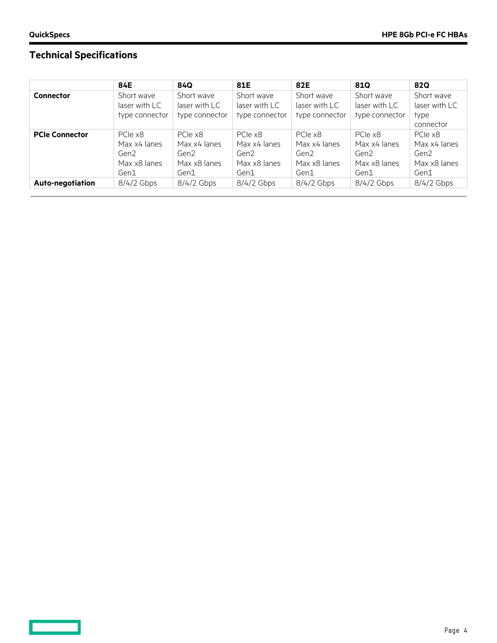**Contract** 

# **Technical Specifications**

|                       | 84E              | 84Q              | 81E            | 82E            | 810            | <b>82Q</b>    |
|-----------------------|------------------|------------------|----------------|----------------|----------------|---------------|
| <b>Connector</b>      | Short wave       | Short wave       | Short wave     | Short wave     | Short wave     | Short wave    |
|                       | laser with LC    | laser with LC    | laser with LC  | laser with LC  | laser with LC  | laser with LC |
|                       | type connector   | type connector   | type connector | type connector | type connector | type          |
|                       |                  |                  |                |                |                | connector     |
| <b>PCIe Connector</b> | PCIe x8          | PCIe x8          | PCIe x8        | PCIe x8        | PCIe x8        | PCIe x8       |
|                       | Max x4 lanes     | Max x4 lanes     | Max x4 lanes   | Max x4 lanes   | Max x4 lanes   | Max x4 lanes  |
|                       | Gen <sub>2</sub> | Gen <sub>2</sub> | Gen2           | Gen2           | Gen2           | Gen2          |
|                       | Max x8 lanes     | Max x8 lanes     | Max x8 lanes   | Max x8 lanes   | Max x8 lanes   | Max x8 lanes  |
|                       | Gen1             | Gen1             | Gen1           | Gen1           | Gen1           | Gen1          |
| Auto-negotiation      | 8/4/2 Gbps       | $8/4/2$ Gbps     | $8/4/2$ Gbps   | $8/4/2$ Gbps   | $8/4/2$ Gbps   | $8/4/2$ Gbps  |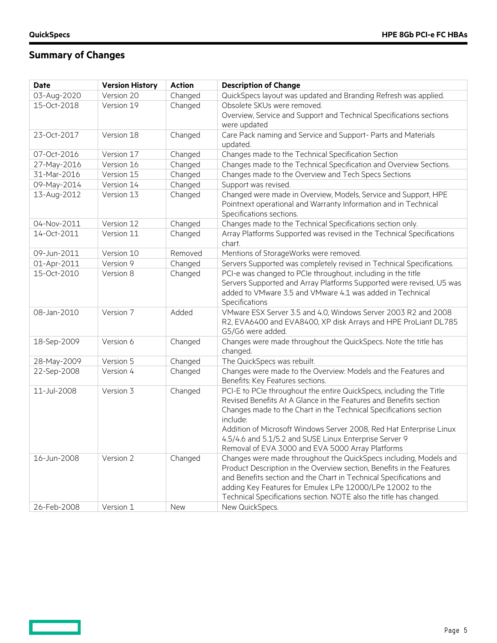$\Box$ 

## **Summary of Changes**

| <b>Date</b> | <b>Version History</b> | <b>Action</b> | <b>Description of Change</b>                                                                                                  |
|-------------|------------------------|---------------|-------------------------------------------------------------------------------------------------------------------------------|
| 03-Aug-2020 | Version 20             | Changed       | QuickSpecs layout was updated and Branding Refresh was applied.                                                               |
| 15-Oct-2018 | Version 19             | Changed       | Obsolete SKUs were removed.                                                                                                   |
|             |                        |               | Overview, Service and Support and Technical Specifications sections                                                           |
|             |                        |               | were updated                                                                                                                  |
| 23-Oct-2017 | Version 18             | Changed       | Care Pack naming and Service and Support- Parts and Materials                                                                 |
|             |                        |               | updated.                                                                                                                      |
| 07-Oct-2016 | Version 17             | Changed       | Changes made to the Technical Specification Section                                                                           |
| 27-May-2016 | Version 16             | Changed       | Changes made to the Technical Specification and Overview Sections.                                                            |
| 31-Mar-2016 | Version 15             | Changed       | Changes made to the Overview and Tech Specs Sections                                                                          |
| 09-May-2014 | Version 14             | Changed       | Support was revised.                                                                                                          |
| 13-Aug-2012 | Version 13             | Changed       | Changed were made in Overview, Models, Service and Support, HPE                                                               |
|             |                        |               | Pointnext operational and Warranty Information and in Technical                                                               |
|             |                        |               | Specifications sections.                                                                                                      |
| 04-Nov-2011 | Version 12             | Changed       | Changes made to the Technical Specifications section only.                                                                    |
| 14-Oct-2011 | Version 11             | Changed       | Array Platforms Supported was revised in the Technical Specifications                                                         |
|             |                        |               | chart.                                                                                                                        |
| 09-Jun-2011 | Version 10             | Removed       | Mentions of StorageWorks were removed.                                                                                        |
| 01-Apr-2011 | Version 9              | Changed       | Servers Supported was completely revised in Technical Specifications.                                                         |
| 15-Oct-2010 | Version 8              | Changed       | PCI-e was changed to PCIe throughout, including in the title                                                                  |
|             |                        |               | Servers Supported and Array Platforms Supported were revised, U5 was                                                          |
|             |                        |               | added to VMware 3.5 and VMware 4.1 was added in Technical                                                                     |
|             |                        |               | Specifications                                                                                                                |
| 08-Jan-2010 | Version 7              | Added         | VMware ESX Server 3.5 and 4.0, Windows Server 2003 R2 and 2008                                                                |
|             |                        |               | R2, EVA6400 and EVA8400, XP disk Arrays and HPE ProLiant DL785                                                                |
|             |                        |               | G5/G6 were added.                                                                                                             |
| 18-Sep-2009 | Version 6              | Changed       | Changes were made throughout the QuickSpecs. Note the title has                                                               |
|             |                        |               | changed.                                                                                                                      |
| 28-May-2009 | Version 5              | Changed       | The QuickSpecs was rebuilt.                                                                                                   |
| 22-Sep-2008 | Version 4              | Changed       | Changes were made to the Overview: Models and the Features and                                                                |
|             |                        |               | Benefits: Key Features sections.                                                                                              |
| 11-Jul-2008 | Version 3              | Changed       | PCI-E to PCIe throughout the entire QuickSpecs, including the Title                                                           |
|             |                        |               | Revised Benefits At A Glance in the Features and Benefits section                                                             |
|             |                        |               | Changes made to the Chart in the Technical Specifications section                                                             |
|             |                        |               | include:                                                                                                                      |
|             |                        |               | Addition of Microsoft Windows Server 2008, Red Hat Enterprise Linux<br>4.5/4.6 and 5.1/5.2 and SUSE Linux Enterprise Server 9 |
|             |                        |               | Removal of EVA 3000 and EVA 5000 Array Platforms                                                                              |
| 16-Jun-2008 | Version 2              | Changed       | Changes were made throughout the QuickSpecs including, Models and                                                             |
|             |                        |               | Product Description in the Overview section, Benefits in the Features                                                         |
|             |                        |               | and Benefits section and the Chart in Technical Specifications and                                                            |
|             |                        |               | adding Key Features for Emulex LPe 12000/LPe 12002 to the                                                                     |
|             |                        |               | Technical Specifications section. NOTE also the title has changed.                                                            |
| 26-Feb-2008 | Version 1              | New           | New QuickSpecs.                                                                                                               |